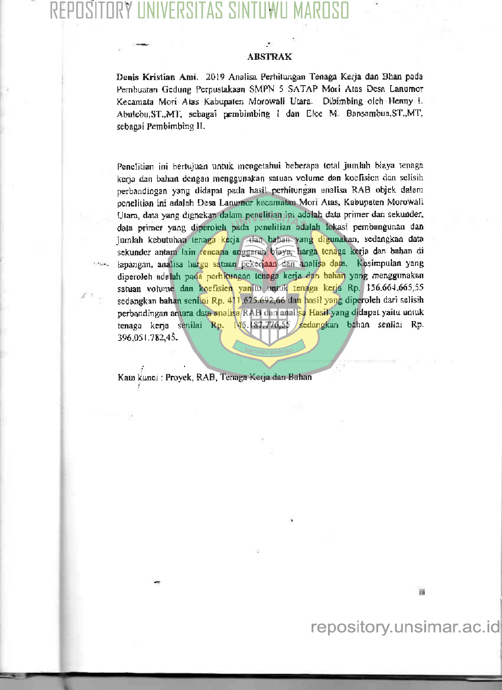# VERSITAS

### **ABSTRAK**

Denis Kristian Ami. 2019 Analisa Perhitungan Tenaga Kerja dan Bhan poda Pembuatan Gedung Perpustakaan SMPN 5 SATAP Mori Atas Desa Lanumor Kecamata Mori Atas Kabupaten Morowali Utara. Dibimbing oleh Henny t. Abulebu, ST., MT, sebagai pembimbing I dan Elce M. Bansambua, ST., MT, sebagai Pembimbing II.

Penclitian ini bertujuan untuk mengetahui beberapa total jumlah biaya tenaga kerja dan bahan dengan menggunakan satuan volume dan koefisien dan selisih perbandingan yang didapat pada hasil perhitungan analisa RAB objek dalam penelitian ini adalah Desa Lanumor kecamatan Mori Atas, Kabupaten Morowali Utara, data yang dignakan dalam penelitian ini adalah data primer dan sekunder, data primer yang diperoleh pada penelitian adalah lokasi pembangunan dan jumlah kebutuhan tenaga kerja dan bahan yang digunakan, sedangkan data sekunder antara lain rencana anggarah biaya, harga tenaga kerja dan bahan di lapangan, analisa harga satuan pekerjaan dan analisa data. Kesimpulan yang diperoleh adalah pada perhitungan tenaga kerja dan bahan yang menggunakan satuan volume dan koefisien yanitu untuk tenaga kerja Rp. 156.664.665,55 sedangkan bahan senilai Rp. 411.625.692,66 dan hasil yang diperoleh dari selisih perbandingan antara data analisa RAB dan analisa Hasil yang didapat yaitu untuk tenaga kerja senilai Rp. 145.137.776,55 sedangkan bahan senilai Rp. 396,051,782,45.

Kata kunci : Proyek, RAB, Tenaga Kerja dan Bahan

ili

## repository.unsimar.ac.id